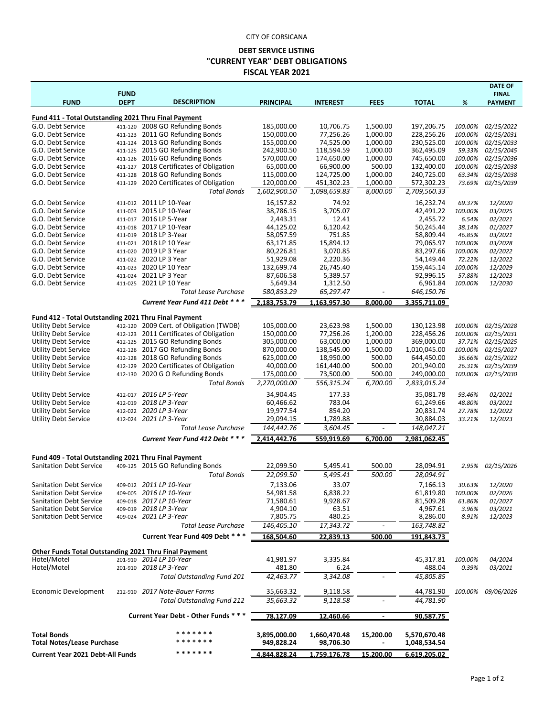## CITY OF CORSICANA

## **DEBT SERVICE LISTING "CURRENT YEAR" DEBT OBLIGATIONS FISCAL YEAR 2021**

| <b>FUND</b>                                                                      | <b>FUND</b><br><b>DEPT</b> | <b>DESCRIPTION</b>                                                 | <b>PRINCIPAL</b>           | <b>INTEREST</b>            | <b>FEES</b>              | <b>TOTAL</b>                 | %                 | <b>DATE OF</b><br><b>FINAL</b><br><b>PAYMENT</b> |  |  |  |  |
|----------------------------------------------------------------------------------|----------------------------|--------------------------------------------------------------------|----------------------------|----------------------------|--------------------------|------------------------------|-------------------|--------------------------------------------------|--|--|--|--|
|                                                                                  |                            |                                                                    |                            |                            |                          |                              |                   |                                                  |  |  |  |  |
| <b>Fund 411 - Total Outstanding 2021 Thru Final Payment</b><br>G.O. Debt Service |                            | 411-120 2008 GO Refunding Bonds                                    | 185,000.00                 | 10,706.75                  | 1,500.00                 | 197,206.75                   | 100.00%           | 02/15/2022                                       |  |  |  |  |
| G.O. Debt Service                                                                |                            | 411-123 2011 GO Refunding Bonds                                    | 150,000.00                 | 77,256.26                  | 1,000.00                 | 228,256.26                   | 100.00%           | 02/15/2031                                       |  |  |  |  |
| G.O. Debt Service                                                                |                            | 411-124 2013 GO Refunding Bonds                                    | 155,000.00                 | 74,525.00                  | 1,000.00                 | 230,525.00                   | 100.00%           | 02/15/2033                                       |  |  |  |  |
| G.O. Debt Service                                                                |                            | 411-125 2015 GO Refunding Bonds                                    | 242,900.50                 | 118,594.59                 | 1,000.00                 | 362,495.09                   | 59.33%            | 02/15/2045                                       |  |  |  |  |
| G.O. Debt Service                                                                |                            | 411-126 2016 GO Refunding Bonds                                    | 570,000.00                 | 174,650.00                 | 1,000.00                 | 745,650.00                   | 100.00%           | 02/15/2036                                       |  |  |  |  |
| G.O. Debt Service                                                                | 411-127                    | 2018 Certificates of Obligation                                    | 65,000.00                  | 66,900.00                  | 500.00                   | 132,400.00                   | 100.00%           | 02/15/2038                                       |  |  |  |  |
| G.O. Debt Service                                                                | 411-128                    | 2018 GO Refunding Bonds                                            | 115,000.00                 | 124,725.00                 | 1,000.00                 | 240,725.00                   | 63.34%            | 02/15/2038                                       |  |  |  |  |
| G.O. Debt Service                                                                | 411-129                    | 2020 Certificates of Obligation<br><b>Total Bonds</b>              | 120,000.00<br>1,602,900.50 | 451,302.23<br>1,098,659.83 | 1,000.00<br>8,000.00     | 572,302.23<br>2,709,560.33   | 73.69%            | 02/15/2039                                       |  |  |  |  |
|                                                                                  |                            |                                                                    |                            |                            |                          |                              |                   |                                                  |  |  |  |  |
| G.O. Debt Service                                                                | 411-012                    | 2011 LP 10-Year                                                    | 16,157.82                  | 74.92                      |                          | 16,232.74                    | 69.37%            | 12/2020                                          |  |  |  |  |
| G.O. Debt Service<br>G.O. Debt Service                                           | 411-003                    | 2015 LP 10-Year<br>411-017 2016 LP 5-Year                          | 38,786.15<br>2,443.31      | 3,705.07<br>12.41          |                          | 42,491.22<br>2,455.72        | 100.00%<br>6.54%  | 03/2025<br>02/2021                               |  |  |  |  |
| G.O. Debt Service                                                                |                            | 411-018 2017 LP 10-Year                                            | 44,125.02                  | 6,120.42                   |                          | 50,245.44                    | 38.14%            | 01/2027                                          |  |  |  |  |
| G.O. Debt Service                                                                |                            | 411-019 2018 LP 3-Year                                             | 58,057.59                  | 751.85                     |                          | 58,809.44                    | 46.85%            | 03/2021                                          |  |  |  |  |
| G.O. Debt Service                                                                |                            | 411-021 2018 LP 10 Year                                            | 63,171.85                  | 15,894.12                  |                          | 79,065.97                    | 100.00%           | 03/2028                                          |  |  |  |  |
| G.O. Debt Service                                                                | 411-020                    | 2019 LP 3 Year                                                     | 80,226.81                  | 3,070.85                   |                          | 83,297.66                    | 100.00%           | 02/2022                                          |  |  |  |  |
| G.O. Debt Service                                                                |                            | 411-022 2020 LP 3 Year                                             | 51,929.08                  | 2,220.36                   |                          | 54,149.44                    | 72.22%            | 12/2022                                          |  |  |  |  |
| G.O. Debt Service                                                                | 411-023                    | 2020 LP 10 Year                                                    | 132,699.74                 | 26,745.40                  |                          | 159,445.14                   | 100.00%           | 12/2029                                          |  |  |  |  |
| G.O. Debt Service                                                                | 411-024                    | 2021 LP 3 Year                                                     | 87,606.58                  | 5,389.57                   |                          | 92,996.15                    | 57.88%            | 12/2023                                          |  |  |  |  |
| G.O. Debt Service                                                                | 411-025                    | 2021 LP 10 Year<br><b>Total Lease Purchase</b>                     | 5,649.34<br>580,853.29     | 1,312.50<br>65,297.47      |                          | 6,961.84<br>646,150.76       | 100.00%           | 12/2030                                          |  |  |  |  |
|                                                                                  |                            |                                                                    |                            |                            |                          |                              |                   |                                                  |  |  |  |  |
|                                                                                  |                            | Current Year Fund 411 Debt * * *                                   | 2,183,753.79               | 1,163,957.30               | 8,000.00                 | 3,355,711.09                 |                   |                                                  |  |  |  |  |
| Fund 412 - Total Outstanding 2021 Thru Final Payment                             |                            |                                                                    |                            |                            |                          |                              |                   |                                                  |  |  |  |  |
| <b>Utility Debt Service</b>                                                      | 412-120                    | 2009 Cert. of Obligation (TWDB)                                    | 105,000.00                 | 23,623.98                  | 1,500.00                 | 130,123.98                   | 100.00%           | 02/15/2028                                       |  |  |  |  |
| <b>Utility Debt Service</b>                                                      |                            | 412-123 2011 Certificates of Obligation                            | 150,000.00                 | 77,256.26                  | 1,200.00                 | 228,456.26                   | 100.00%           | 02/15/2031                                       |  |  |  |  |
| <b>Utility Debt Service</b>                                                      |                            | 412-125 2015 GO Refunding Bonds                                    | 305,000.00                 | 63,000.00                  | 1,000.00                 | 369,000.00                   | 37.71%            | 02/15/2025                                       |  |  |  |  |
| <b>Utility Debt Service</b><br><b>Utility Debt Service</b>                       |                            | 412-126 2017 GO Refunding Bonds<br>412-128 2018 GO Refunding Bonds | 870,000.00<br>625,000.00   | 138,545.00<br>18,950.00    | 1,500.00<br>500.00       | 1,010,045.00<br>644,450.00   | 100.00%<br>36.66% | 02/15/2027<br>02/15/2022                         |  |  |  |  |
| <b>Utility Debt Service</b>                                                      | 412-129                    | 2020 Certificates of Obligation                                    | 40,000.00                  | 161,440.00                 | 500.00                   | 201,940.00                   | 26.31%            | 02/15/2039                                       |  |  |  |  |
| <b>Utility Debt Service</b>                                                      |                            | 412-130 2020 G O Refunding Bonds                                   | 175,000.00                 | 73,500.00                  | 500.00                   | 249,000.00                   | 100.00%           | 02/15/2030                                       |  |  |  |  |
|                                                                                  |                            | <b>Total Bonds</b>                                                 | 2,270,000.00               | 556,315.24                 | 6,700.00                 | 2,833,015.24                 |                   |                                                  |  |  |  |  |
| <b>Utility Debt Service</b>                                                      |                            | 412-017 2016 LP 5-Year                                             | 34,904.45                  | 177.33                     |                          | 35,081.78                    | 93.46%            | 02/2021                                          |  |  |  |  |
| <b>Utility Debt Service</b>                                                      | 412-019                    | 2018 LP 3-Year                                                     | 60,466.62                  | 783.04                     |                          | 61,249.66                    | 48.80%            | 03/2021                                          |  |  |  |  |
| <b>Utility Debt Service</b>                                                      |                            | 412-022 2020 LP 3-Year                                             | 19,977.54                  | 854.20                     |                          | 20,831.74                    | 27.78%            | 12/2022                                          |  |  |  |  |
| <b>Utility Debt Service</b>                                                      |                            | 412-024 2021 LP 3-Year                                             | 29,094.15                  | 1,789.88                   |                          | 30,884.03                    | 33.21%            | 12/2023                                          |  |  |  |  |
|                                                                                  |                            | Total Lease Purchase                                               | 144,442.76                 | 3,604.45                   |                          | 148,047.21                   |                   |                                                  |  |  |  |  |
|                                                                                  |                            | Current Year Fund 412 Debt * * *                                   | 2,414,442.76               | 559,919.69                 | 6,700.00                 | 2,981,062.45                 |                   |                                                  |  |  |  |  |
|                                                                                  |                            |                                                                    |                            |                            |                          |                              |                   |                                                  |  |  |  |  |
| Fund 409 - Total Outstanding 2021 Thru Final Payment                             |                            | 409-125 2015 GO Refunding Bonds                                    |                            |                            |                          |                              |                   |                                                  |  |  |  |  |
| <b>Sanitation Debt Service</b>                                                   |                            |                                                                    | 22,099.50                  | 5,495.41                   | 500.00                   | 28,094.91                    | 2.95%             | 02/15/2026                                       |  |  |  |  |
|                                                                                  |                            | <b>Total Bonds</b>                                                 | 22,099.50                  | 5,495.41                   | 500.00                   | 28,094.91                    |                   |                                                  |  |  |  |  |
| <b>Sanitation Debt Service</b>                                                   |                            | 409-012 2011 LP 10-Year                                            | 7,133.06                   | 33.07                      |                          | 7,166.13                     | 30.63%            | 12/2020                                          |  |  |  |  |
| <b>Sanitation Debt Service</b><br><b>Sanitation Debt Service</b>                 |                            | 409-005 2016 LP 10-Year<br>409-018 2017 LP 10-Year                 | 54,981.58<br>71,580.61     | 6,838.22<br>9,928.67       |                          | 61,819.80<br>81,509.28       | 100.00%<br>61.86% | 02/2026<br>01/2027                               |  |  |  |  |
| <b>Sanitation Debt Service</b>                                                   |                            | 409-019 2018 LP 3-Year                                             | 4,904.10                   | 63.51                      |                          | 4,967.61                     | 3.96%             | 03/2021                                          |  |  |  |  |
| Sanitation Debt Service                                                          |                            | 409-024 2021 LP 3-Year                                             | 7,805.75                   | 480.25                     |                          | 8,286.00                     | 8.91%             | 12/2023                                          |  |  |  |  |
|                                                                                  |                            | <b>Total Lease Purchase</b>                                        | 146,405.10                 | 17,343.72                  | $\overline{\phantom{0}}$ | 163,748.82                   |                   |                                                  |  |  |  |  |
|                                                                                  |                            | Current Year Fund 409 Debt ***                                     | 168,504.60                 | 22,839.13                  | 500.00                   | 191,843.73                   |                   |                                                  |  |  |  |  |
|                                                                                  |                            |                                                                    |                            |                            |                          |                              |                   |                                                  |  |  |  |  |
| Other Funds Total Outstanding 2021 Thru Final Payment<br>Hotel/Motel             |                            | 201-910 2014 LP 10-Year                                            | 41,981.97                  | 3,335.84                   |                          | 45,317.81                    | 100.00%           | 04/2024                                          |  |  |  |  |
| Hotel/Motel                                                                      |                            | 201-910 2018 LP 3-Year                                             | 481.80                     | 6.24                       |                          | 488.04                       | 0.39%             | 03/2021                                          |  |  |  |  |
|                                                                                  |                            | <b>Total Outstanding Fund 201</b>                                  | 42,463.77                  | 3,342.08                   |                          | 45,805.85                    |                   |                                                  |  |  |  |  |
|                                                                                  |                            |                                                                    |                            |                            |                          |                              |                   |                                                  |  |  |  |  |
| Economic Development                                                             |                            | 212-910 2017 Note-Bauer Farms                                      | 35,663.32                  | 9,118.58                   |                          | 44,781.90                    | 100.00%           | 09/06/2026                                       |  |  |  |  |
|                                                                                  |                            | <b>Total Outstanding Fund 212</b>                                  | 35,663.32                  | 9,118.58                   |                          | 44,781.90                    |                   |                                                  |  |  |  |  |
|                                                                                  |                            | Current Year Debt - Other Funds * * *                              | 78,127.09                  | 12,460.66                  |                          | 90,587.75                    |                   |                                                  |  |  |  |  |
| <b>Total Bonds</b><br><b>Total Notes/Lease Purchase</b>                          |                            |                                                                    | 3,895,000.00<br>949,828.24 | 1,660,470.48<br>98,706.30  | 15,200.00                | 5,570,670.48<br>1,048,534.54 |                   |                                                  |  |  |  |  |
| <b>Current Year 2021 Debt-All Funds</b>                                          |                            | * * * * * * *                                                      | 4,844,828.24               | 1,759,176.78               | 15,200.00                | 6,619,205.02                 |                   |                                                  |  |  |  |  |